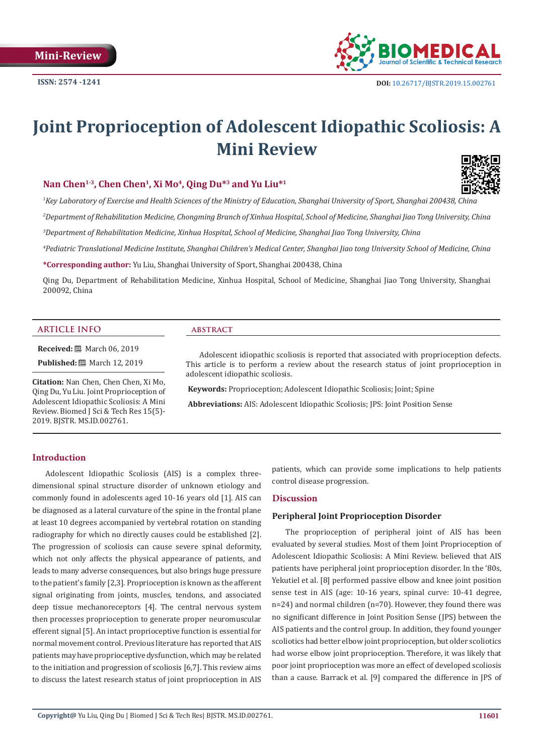

# **Joint Proprioception of Adolescent Idiopathic Scoliosis: A Mini Review**

# Nan Chen<sup>1-3</sup>, Chen Chen<sup>1</sup>, Xi Mo<sup>4</sup>, Oing Du<sup>\*3</sup> and Yu Liu<sup>\*1</sup>

*1 Key Laboratory of Exercise and Health Sciences of the Ministry of Education, Shanghai University of Sport, Shanghai 200438, China* 

*2 Department of Rehabilitation Medicine, Chongming Branch of Xinhua Hospital, School of Medicine, Shanghai Jiao Tong University, China*

*3 Department of Rehabilitation Medicine, Xinhua Hospital, School of Medicine, Shanghai Jiao Tong University, China* 

*4 Pediatric Translational Medicine Institute, Shanghai Children's Medical Center, Shanghai Jiao tong University School of Medicine, China* 

**\*Corresponding author:** Yu Liu, Shanghai University of Sport, Shanghai 200438, China

Qing Du, Department of Rehabilitation Medicine, Xinhua Hospital, School of Medicine, Shanghai Jiao Tong University, Shanghai 200092, China

# **ARTICLE INFO abstract**

**Received:** ■ March 06, 2019

**Published:** 圖 March 12, 2019

**Citation:** Nan Chen, Chen Chen, Xi Mo, Qing Du, Yu Liu. Joint Proprioception of Adolescent Idiopathic Scoliosis: A Mini Review. Biomed J Sci & Tech Res 15(5)- 2019. BJSTR. MS.ID.002761.

Adolescent idiopathic scoliosis is reported that associated with proprioception defects. This article is to perform a review about the research status of joint proprioception in adolescent idiopathic scoliosis.

 **Keywords:** Proprioception; Adolescent Idiopathic Scoliosis; Joint; Spine

 **Abbreviations:** AIS: Adolescent Idiopathic Scoliosis; JPS: Joint Position Sense

# **Introduction**

Adolescent Idiopathic Scoliosis (AIS) is a complex threedimensional spinal structure disorder of unknown etiology and commonly found in adolescents aged 10-16 years old [1]. AIS can be diagnosed as a lateral curvature of the spine in the frontal plane at least 10 degrees accompanied by vertebral rotation on standing radiography for which no directly causes could be established [2]. The progression of scoliosis can cause severe spinal deformity, which not only affects the physical appearance of patients, and leads to many adverse consequences, but also brings huge pressure to the patient's family [2,3]. Proprioception is known as the afferent signal originating from joints, muscles, tendons, and associated deep tissue mechanoreceptors [4]. The central nervous system then processes proprioception to generate proper neuromuscular efferent signal [5]. An intact proprioceptive function is essential for normal movement control. Previous literature has reported that AIS patients may have proprioceptive dysfunction, which may be related to the initiation and progression of scoliosis [6,7]. This review aims to discuss the latest research status of joint proprioception in AIS

patients, which can provide some implications to help patients control disease progression.

#### **Discussion**

# **Peripheral Joint Proprioception Disorder**

The proprioception of peripheral joint of AIS has been evaluated by several studies. Most of them Joint Proprioception of Adolescent Idiopathic Scoliosis: A Mini Review. believed that AIS patients have peripheral joint proprioception disorder. In the '80s, Yekutiel et al. [8] performed passive elbow and knee joint position sense test in AIS (age: 10-16 years, spinal curve: 10-41 degree, n=24) and normal children (n=70). However, they found there was no significant difference in Joint Position Sense (JPS) between the AIS patients and the control group. In addition, they found younger scoliotics had better elbow joint proprioception, but older scoliotics had worse elbow joint proprioception. Therefore, it was likely that poor joint proprioception was more an effect of developed scoliosis than a cause. Barrack et al. [9] compared the difference in JPS of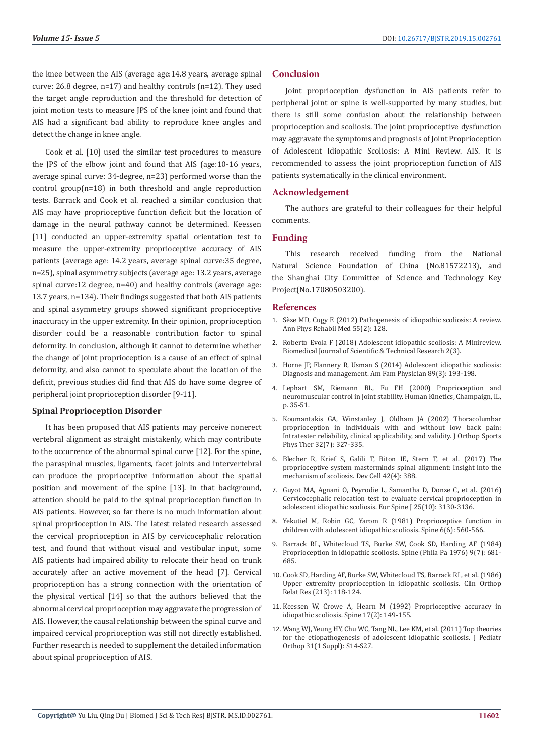the knee between the AIS (average age:14.8 years, average spinal curve: 26.8 degree, n=17) and healthy controls (n=12). They used the target angle reproduction and the threshold for detection of joint motion tests to measure JPS of the knee joint and found that AIS had a significant bad ability to reproduce knee angles and detect the change in knee angle.

Cook et al. [10] used the similar test procedures to measure the JPS of the elbow joint and found that AIS (age:10-16 years, average spinal curve: 34-degree, n=23) performed worse than the control group(n=18) in both threshold and angle reproduction tests. Barrack and Cook et al. reached a similar conclusion that AIS may have proprioceptive function deficit but the location of damage in the neural pathway cannot be determined. Keessen [11] conducted an upper-extremity spatial orientation test to measure the upper-extremity proprioceptive accuracy of AIS patients (average age: 14.2 years, average spinal curve:35 degree, n=25), spinal asymmetry subjects (average age: 13.2 years, average spinal curve:12 degree, n=40) and healthy controls (average age: 13.7 years, n=134). Their findings suggested that both AIS patients and spinal asymmetry groups showed significant proprioceptive inaccuracy in the upper extremity. In their opinion, proprioception disorder could be a reasonable contribution factor to spinal deformity. In conclusion, although it cannot to determine whether the change of joint proprioception is a cause of an effect of spinal deformity, and also cannot to speculate about the location of the deficit, previous studies did find that AIS do have some degree of peripheral joint proprioception disorder [9-11].

# **Spinal Proprioception Disorder**

It has been proposed that AIS patients may perceive nonerect vertebral alignment as straight mistakenly, which may contribute to the occurrence of the abnormal spinal curve [12]. For the spine, the paraspinal muscles, ligaments, facet joints and intervertebral can produce the proprioceptive information about the spatial position and movement of the spine [13]. In that background, attention should be paid to the spinal proprioception function in AIS patients. However, so far there is no much information about spinal proprioception in AIS. The latest related research assessed the cervical proprioception in AIS by cervicocephalic relocation test, and found that without visual and vestibular input, some AIS patients had impaired ability to relocate their head on trunk accurately after an active movement of the head [7]. Cervical proprioception has a strong connection with the orientation of the physical vertical [14] so that the authors believed that the abnormal cervical proprioception may aggravate the progression of AIS. However, the causal relationship between the spinal curve and impaired cervical proprioception was still not directly established. Further research is needed to supplement the detailed information about spinal proprioception of AIS.

#### **Conclusion**

Joint proprioception dysfunction in AIS patients refer to peripheral joint or spine is well-supported by many studies, but there is still some confusion about the relationship between proprioception and scoliosis. The joint proprioceptive dysfunction may aggravate the symptoms and prognosis of Joint Proprioception of Adolescent Idiopathic Scoliosis: A Mini Review. AIS. It is recommended to assess the joint proprioception function of AIS patients systematically in the clinical environment.

# **Acknowledgement**

The authors are grateful to their colleagues for their helpful comments.

### **Funding**

This research received funding from the National Natural Science Foundation of China (No.81572213), and the Shanghai City Committee of Science and Technology Key Project(No.17080503200).

#### **References**

- 1. [Sèze MD, Cugy E \(2012\) Pathogenesis of idiopathic scoliosis: A review.](https://www.ncbi.nlm.nih.gov/pubmed/22321868) [Ann Phys Rehabil Med 55\(2\): 128.](https://www.ncbi.nlm.nih.gov/pubmed/22321868)
- 2. [Roberto Evola F \(2018\) Adolescent idiopathic scoliosis: A Minireview.](https://biomedres.us/pdfs/BJSTR.MS.ID.000770.pdf) [Biomedical Journal of Scientific & Technical Research 2\(3\).](https://biomedres.us/pdfs/BJSTR.MS.ID.000770.pdf)
- 3. [Horne JP, Flannery R, Usman S \(2014\) Adolescent idiopathic scoliosis:](https://www.aafp.org/afp/2014/0201/p193.html) [Diagnosis and management. Am Fam Physician 89\(3\): 193-198.](https://www.aafp.org/afp/2014/0201/p193.html)
- 4. [Lephart SM, Riemann BL, Fu FH \(2000\) Proprioception and](https://books.google.co.in/books?id=yT25tBsZbbYC&dq=In+proprioception+and+neuromuscular+control+in+joint+stability&hl=en&sa=X&ved=0ahUKEwj02oXo1PngAhWHF3IKHQKoA6wQ6AEIKDAA) [neuromuscular control in joint stability. Human Kinetics, Champaign, IL,](https://books.google.co.in/books?id=yT25tBsZbbYC&dq=In+proprioception+and+neuromuscular+control+in+joint+stability&hl=en&sa=X&ved=0ahUKEwj02oXo1PngAhWHF3IKHQKoA6wQ6AEIKDAA) [p. 35-51.](https://books.google.co.in/books?id=yT25tBsZbbYC&dq=In+proprioception+and+neuromuscular+control+in+joint+stability&hl=en&sa=X&ved=0ahUKEwj02oXo1PngAhWHF3IKHQKoA6wQ6AEIKDAA)
- 5. [Koumantakis GA, Winstanley J, Oldham JA \(2002\) Thoracolumbar](https://www.ncbi.nlm.nih.gov/pubmed/12113467) [proprioception in individuals with and without low back pain:](https://www.ncbi.nlm.nih.gov/pubmed/12113467) [Intratester reliability, clinical applicability, and validity. J Orthop Sports](https://www.ncbi.nlm.nih.gov/pubmed/12113467) [Phys Ther 32\(7\): 327-335.](https://www.ncbi.nlm.nih.gov/pubmed/12113467)
- 6. [Blecher R, Krief S, Galili T, Biton IE, Stern T, et al. \(2017\) The](https://www.ncbi.nlm.nih.gov/pubmed/28829946) [proprioceptive system masterminds spinal alignment: Insight into the](https://www.ncbi.nlm.nih.gov/pubmed/28829946) [mechanism of scoliosis. Dev Cell 42\(4\): 388.](https://www.ncbi.nlm.nih.gov/pubmed/28829946)
- 7. [Guyot MA, Agnani O, Peyrodie L, Samantha D, Donze C, et al. \(2016\)](https://www.ncbi.nlm.nih.gov/pubmed/27072549) [Cervicocephalic relocation test to evaluate cervical proprioception in](https://www.ncbi.nlm.nih.gov/pubmed/27072549) [adolescent idiopathic scoliosis. Eur Spine J 25\(10\): 3130-3136.](https://www.ncbi.nlm.nih.gov/pubmed/27072549)
- 8. [Yekutiel M, Robin GC, Yarom R \(1981\) Proprioceptive function in](https://www.ncbi.nlm.nih.gov/pubmed/7336278) [children with adolescent idiopathic scoliosis. Spine 6\(6\): 560-566.](https://www.ncbi.nlm.nih.gov/pubmed/7336278)
- 9. [Barrack RL, Whitecloud TS, Burke SW, Cook SD, Harding AF \(1984\)](https://www.ncbi.nlm.nih.gov/pubmed/6505836) [Proprioception in idiopathic scoliosis. Spine \(Phila Pa 1976\) 9\(7\): 681-](https://www.ncbi.nlm.nih.gov/pubmed/6505836) [685.](https://www.ncbi.nlm.nih.gov/pubmed/6505836)
- 10. [Cook SD, Harding AF, Burke SW, Whitecloud TS, Barrack RL, et al. \(1986\)](https://www.ncbi.nlm.nih.gov/pubmed/3780080) [Upper extremity proprioception in idiopathic scoliosis. Clin Orthop](https://www.ncbi.nlm.nih.gov/pubmed/3780080) [Relat Res \(213\): 118-124.](https://www.ncbi.nlm.nih.gov/pubmed/3780080)
- 11. [Keessen W, Crowe A, Hearn M \(1992\) Proprioceptive accuracy in](https://www.ncbi.nlm.nih.gov/pubmed/1553585) [idiopathic scoliosis. Spine 17\(2\): 149-155.](https://www.ncbi.nlm.nih.gov/pubmed/1553585)
- 12. [Wang WJ, Yeung HY, Chu WC, Tang NL, Lee KM, et al. \(2011\) Top theories](https://www.ncbi.nlm.nih.gov/pubmed/21173615) [for the etiopathogenesis of adolescent idiopathic scoliosis. J Pediatr](https://www.ncbi.nlm.nih.gov/pubmed/21173615) [Orthop 31\(1 Suppl\): S14-S27.](https://www.ncbi.nlm.nih.gov/pubmed/21173615)